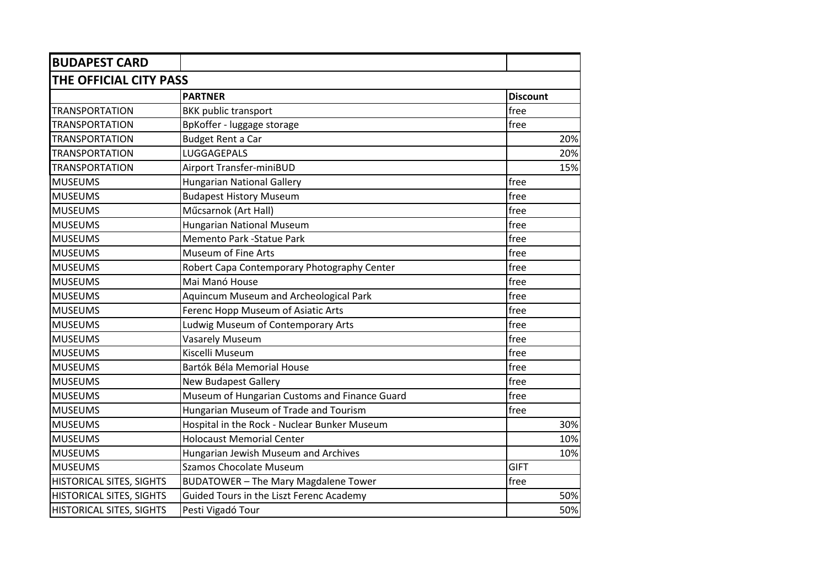| <b>BUDAPEST CARD</b>            |                                               |                 |  |  |
|---------------------------------|-----------------------------------------------|-----------------|--|--|
| THE OFFICIAL CITY PASS          |                                               |                 |  |  |
|                                 | <b>PARTNER</b>                                | <b>Discount</b> |  |  |
| <b>TRANSPORTATION</b>           | <b>BKK public transport</b>                   | free            |  |  |
| <b>TRANSPORTATION</b>           | BpKoffer - luggage storage                    | free            |  |  |
| <b>TRANSPORTATION</b>           | <b>Budget Rent a Car</b>                      | 20%             |  |  |
| <b>TRANSPORTATION</b>           | LUGGAGEPALS                                   | 20%             |  |  |
| <b>TRANSPORTATION</b>           | Airport Transfer-miniBUD                      | 15%             |  |  |
| <b>MUSEUMS</b>                  | <b>Hungarian National Gallery</b>             | free            |  |  |
| <b>MUSEUMS</b>                  | <b>Budapest History Museum</b>                | free            |  |  |
| <b>MUSEUMS</b>                  | Műcsarnok (Art Hall)                          | free            |  |  |
| <b>MUSEUMS</b>                  | <b>Hungarian National Museum</b>              | free            |  |  |
| <b>MUSEUMS</b>                  | <b>Memento Park -Statue Park</b>              | free            |  |  |
| <b>MUSEUMS</b>                  | Museum of Fine Arts                           | free            |  |  |
| <b>MUSEUMS</b>                  | Robert Capa Contemporary Photography Center   | free            |  |  |
| <b>MUSEUMS</b>                  | Mai Manó House                                | free            |  |  |
| <b>MUSEUMS</b>                  | Aquincum Museum and Archeological Park        | free            |  |  |
| <b>MUSEUMS</b>                  | Ferenc Hopp Museum of Asiatic Arts            | free            |  |  |
| <b>MUSEUMS</b>                  | Ludwig Museum of Contemporary Arts            | free            |  |  |
| <b>MUSEUMS</b>                  | <b>Vasarely Museum</b>                        | free            |  |  |
| <b>MUSEUMS</b>                  | Kiscelli Museum                               | free            |  |  |
| <b>MUSEUMS</b>                  | Bartók Béla Memorial House                    | free            |  |  |
| <b>MUSEUMS</b>                  | <b>New Budapest Gallery</b>                   | free            |  |  |
| <b>MUSEUMS</b>                  | Museum of Hungarian Customs and Finance Guard | free            |  |  |
| <b>MUSEUMS</b>                  | Hungarian Museum of Trade and Tourism         | free            |  |  |
| <b>MUSEUMS</b>                  | Hospital in the Rock - Nuclear Bunker Museum  | 30%             |  |  |
| <b>MUSEUMS</b>                  | <b>Holocaust Memorial Center</b>              | 10%             |  |  |
| <b>MUSEUMS</b>                  | Hungarian Jewish Museum and Archives          | 10%             |  |  |
| <b>MUSEUMS</b>                  | <b>Szamos Chocolate Museum</b>                | <b>GIFT</b>     |  |  |
| <b>HISTORICAL SITES, SIGHTS</b> | <b>BUDATOWER - The Mary Magdalene Tower</b>   | free            |  |  |
| <b>HISTORICAL SITES, SIGHTS</b> | Guided Tours in the Liszt Ferenc Academy      | 50%             |  |  |
| HISTORICAL SITES, SIGHTS        | Pesti Vigadó Tour                             | 50%             |  |  |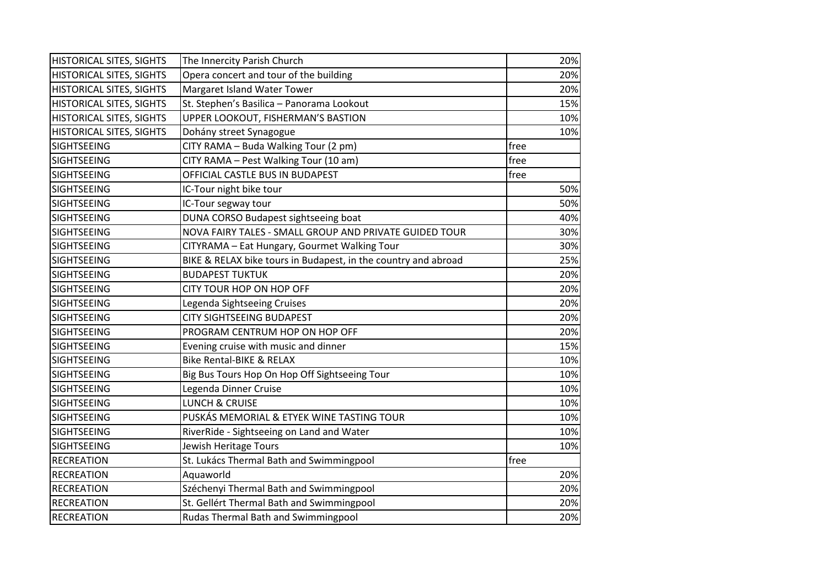| <b>HISTORICAL SITES, SIGHTS</b> | The Innercity Parish Church                                    |      | 20% |
|---------------------------------|----------------------------------------------------------------|------|-----|
| <b>HISTORICAL SITES, SIGHTS</b> | Opera concert and tour of the building                         |      | 20% |
| <b>HISTORICAL SITES, SIGHTS</b> | Margaret Island Water Tower                                    |      | 20% |
| <b>HISTORICAL SITES, SIGHTS</b> | St. Stephen's Basilica - Panorama Lookout                      |      | 15% |
| <b>HISTORICAL SITES, SIGHTS</b> | UPPER LOOKOUT, FISHERMAN'S BASTION                             |      | 10% |
| <b>HISTORICAL SITES, SIGHTS</b> | Dohány street Synagogue                                        |      | 10% |
| <b>SIGHTSEEING</b>              | CITY RAMA - Buda Walking Tour (2 pm)                           | free |     |
| <b>SIGHTSEEING</b>              | CITY RAMA - Pest Walking Tour (10 am)                          | free |     |
| <b>SIGHTSEEING</b>              | OFFICIAL CASTLE BUS IN BUDAPEST                                | free |     |
| <b>SIGHTSEEING</b>              | IC-Tour night bike tour                                        |      | 50% |
| <b>SIGHTSEEING</b>              | IC-Tour segway tour                                            |      | 50% |
| <b>SIGHTSEEING</b>              | DUNA CORSO Budapest sightseeing boat                           |      | 40% |
| <b>SIGHTSEEING</b>              | NOVA FAIRY TALES - SMALL GROUP AND PRIVATE GUIDED TOUR         |      | 30% |
| <b>SIGHTSEEING</b>              | CITYRAMA - Eat Hungary, Gourmet Walking Tour                   |      | 30% |
| <b>SIGHTSEEING</b>              | BIKE & RELAX bike tours in Budapest, in the country and abroad |      | 25% |
| <b>SIGHTSEEING</b>              | <b>BUDAPEST TUKTUK</b>                                         |      | 20% |
| <b>SIGHTSEEING</b>              | CITY TOUR HOP ON HOP OFF                                       |      | 20% |
| <b>SIGHTSEEING</b>              | Legenda Sightseeing Cruises                                    |      | 20% |
| <b>SIGHTSEEING</b>              | <b>CITY SIGHTSEEING BUDAPEST</b>                               |      | 20% |
| <b>SIGHTSEEING</b>              | PROGRAM CENTRUM HOP ON HOP OFF                                 |      | 20% |
| <b>SIGHTSEEING</b>              | Evening cruise with music and dinner                           |      | 15% |
| <b>SIGHTSEEING</b>              | <b>Bike Rental-BIKE &amp; RELAX</b>                            |      | 10% |
| <b>SIGHTSEEING</b>              | Big Bus Tours Hop On Hop Off Sightseeing Tour                  |      | 10% |
| <b>SIGHTSEEING</b>              | Legenda Dinner Cruise                                          |      | 10% |
| <b>SIGHTSEEING</b>              | <b>LUNCH &amp; CRUISE</b>                                      |      | 10% |
| <b>SIGHTSEEING</b>              | PUSKÁS MEMORIAL & ETYEK WINE TASTING TOUR                      |      | 10% |
| <b>SIGHTSEEING</b>              | RiverRide - Sightseeing on Land and Water                      |      | 10% |
| <b>SIGHTSEEING</b>              | Jewish Heritage Tours                                          |      | 10% |
| <b>RECREATION</b>               | St. Lukács Thermal Bath and Swimmingpool                       | free |     |
| <b>RECREATION</b>               | Aquaworld                                                      |      | 20% |
| <b>RECREATION</b>               | Széchenyi Thermal Bath and Swimmingpool                        |      | 20% |
| <b>RECREATION</b>               | St. Gellért Thermal Bath and Swimmingpool                      |      | 20% |
| <b>RECREATION</b>               | Rudas Thermal Bath and Swimmingpool                            |      | 20% |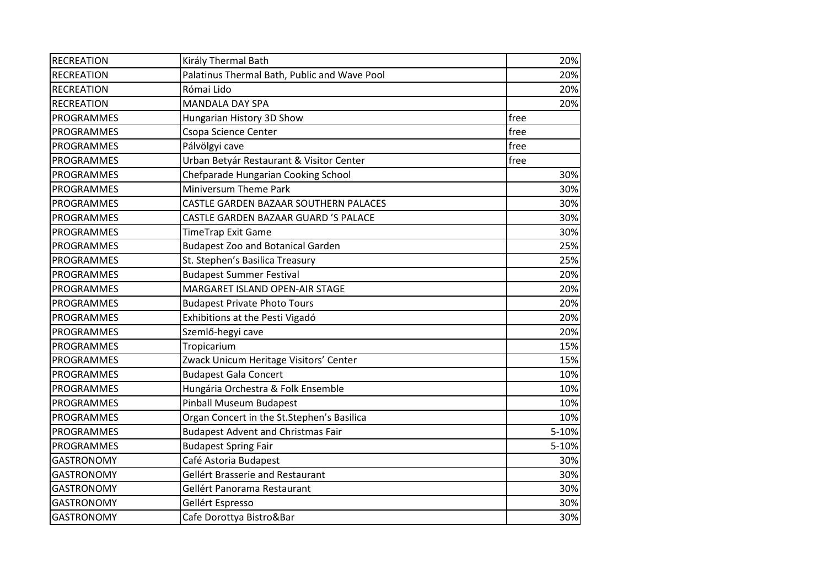| <b>RECREATION</b> | Király Thermal Bath                          | 20%   |
|-------------------|----------------------------------------------|-------|
| <b>RECREATION</b> | Palatinus Thermal Bath, Public and Wave Pool | 20%   |
| <b>RECREATION</b> | Római Lido                                   | 20%   |
| <b>RECREATION</b> | <b>MANDALA DAY SPA</b>                       | 20%   |
| PROGRAMMES        | Hungarian History 3D Show                    | free  |
| <b>PROGRAMMES</b> | Csopa Science Center                         | free  |
| <b>PROGRAMMES</b> | Pálvölgyi cave                               | free  |
| <b>PROGRAMMES</b> | Urban Betyár Restaurant & Visitor Center     | free  |
| PROGRAMMES        | Chefparade Hungarian Cooking School          | 30%   |
| PROGRAMMES        | <b>Miniversum Theme Park</b>                 | 30%   |
| <b>PROGRAMMES</b> | CASTLE GARDEN BAZAAR SOUTHERN PALACES        | 30%   |
| <b>PROGRAMMES</b> | CASTLE GARDEN BAZAAR GUARD 'S PALACE         | 30%   |
| <b>PROGRAMMES</b> | <b>TimeTrap Exit Game</b>                    | 30%   |
| <b>PROGRAMMES</b> | <b>Budapest Zoo and Botanical Garden</b>     | 25%   |
| <b>PROGRAMMES</b> | St. Stephen's Basilica Treasury              | 25%   |
| <b>PROGRAMMES</b> | <b>Budapest Summer Festival</b>              | 20%   |
| <b>PROGRAMMES</b> | MARGARET ISLAND OPEN-AIR STAGE               | 20%   |
| PROGRAMMES        | <b>Budapest Private Photo Tours</b>          | 20%   |
| <b>PROGRAMMES</b> | Exhibitions at the Pesti Vigadó              | 20%   |
| <b>PROGRAMMES</b> | Szemlő-hegyi cave                            | 20%   |
| PROGRAMMES        | Tropicarium                                  | 15%   |
| PROGRAMMES        | Zwack Unicum Heritage Visitors' Center       | 15%   |
| PROGRAMMES        | <b>Budapest Gala Concert</b>                 | 10%   |
| <b>PROGRAMMES</b> | Hungária Orchestra & Folk Ensemble           | 10%   |
| PROGRAMMES        | Pinball Museum Budapest                      | 10%   |
| PROGRAMMES        | Organ Concert in the St.Stephen's Basilica   | 10%   |
| PROGRAMMES        | <b>Budapest Advent and Christmas Fair</b>    | 5-10% |
| PROGRAMMES        | <b>Budapest Spring Fair</b>                  | 5-10% |
| <b>GASTRONOMY</b> | Café Astoria Budapest                        | 30%   |
| <b>GASTRONOMY</b> | <b>Gellért Brasserie and Restaurant</b>      | 30%   |
| <b>GASTRONOMY</b> | Gellért Panorama Restaurant                  | 30%   |
| <b>GASTRONOMY</b> | Gellért Espresso                             | 30%   |
| <b>GASTRONOMY</b> | Cafe Dorottya Bistro&Bar                     | 30%   |